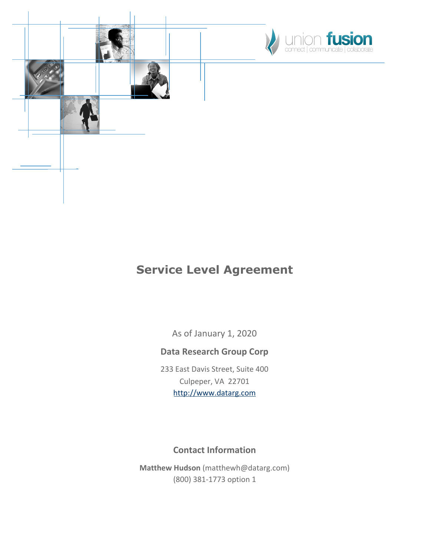



## **Service Level Agreement**

As of January 1, 2020

#### **Data Research Group Corp**

233 East Davis Street, Suite 400 Culpeper, VA 22701 [http://www.datarg.com](http://www.datarg.com/)

#### **Contact Information**

**Matthew Hudson** (matthewh@datarg.com) (800) 381-1773 option 1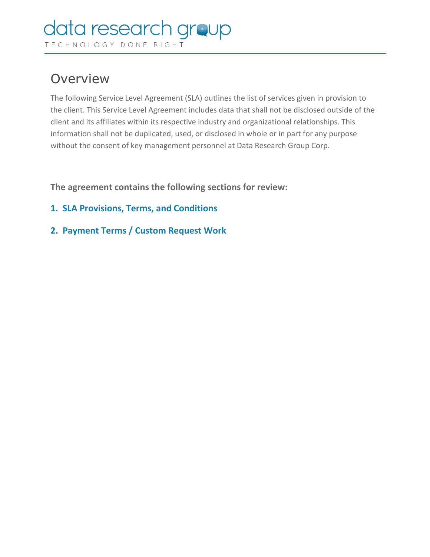# **Overview**

The following Service Level Agreement (SLA) outlines the list of services given in provision to the client. This Service Level Agreement includes data that shall not be disclosed outside of the client and its affiliates within its respective industry and organizational relationships. This information shall not be duplicated, used, or disclosed in whole or in part for any purpose without the consent of key management personnel at Data Research Group Corp.

**The agreement contains the following sections for review:**

- **1. SLA Provisions, Terms, and Conditions**
- **2. Payment Terms / Custom Request Work**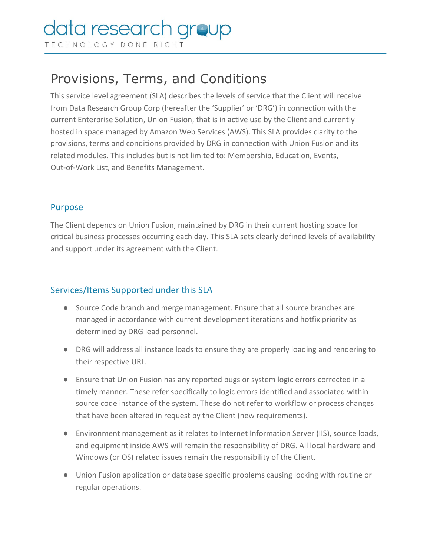### data research n areup

TECHNOLOGY DONE RIGHT

# Provisions, Terms, and Conditions

This service level agreement (SLA) describes the levels of service that the Client will receive from Data Research Group Corp (hereafter the 'Supplier' or 'DRG') in connection with the current Enterprise Solution, Union Fusion, that is in active use by the Client and currently hosted in space managed by Amazon Web Services (AWS). This SLA provides clarity to the provisions, terms and conditions provided by DRG in connection with Union Fusion and its related modules. This includes but is not limited to: Membership, Education, Events, Out-of-Work List, and Benefits Management.

#### Purpose

The Client depends on Union Fusion, maintained by DRG in their current hosting space for critical business processes occurring each day. This SLA sets clearly defined levels of availability and support under its agreement with the Client.

#### Services/Items Supported under this SLA

- Source Code branch and merge management. Ensure that all source branches are managed in accordance with current development iterations and hotfix priority as determined by DRG lead personnel.
- DRG will address all instance loads to ensure they are properly loading and rendering to their respective URL.
- Ensure that Union Fusion has any reported bugs or system logic errors corrected in a timely manner. These refer specifically to logic errors identified and associated within source code instance of the system. These do not refer to workflow or process changes that have been altered in request by the Client (new requirements).
- Environment management as it relates to Internet Information Server (IIS), source loads, and equipment inside AWS will remain the responsibility of DRG. All local hardware and Windows (or OS) related issues remain the responsibility of the Client.
- Union Fusion application or database specific problems causing locking with routine or regular operations.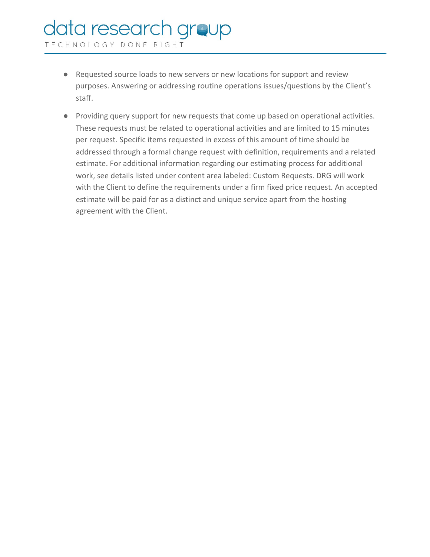# data research group

TECHNOLOGY DONE RIGHT

- Requested source loads to new servers or new locations for support and review purposes. Answering or addressing routine operations issues/questions by the Client's staff.
- Providing query support for new requests that come up based on operational activities. These requests must be related to operational activities and are limited to 15 minutes per request. Specific items requested in excess of this amount of time should be addressed through a formal change request with definition, requirements and a related estimate. For additional information regarding our estimating process for additional work, see details listed under content area labeled: Custom Requests. DRG will work with the Client to define the requirements under a firm fixed price request. An accepted estimate will be paid for as a distinct and unique service apart from the hosting agreement with the Client.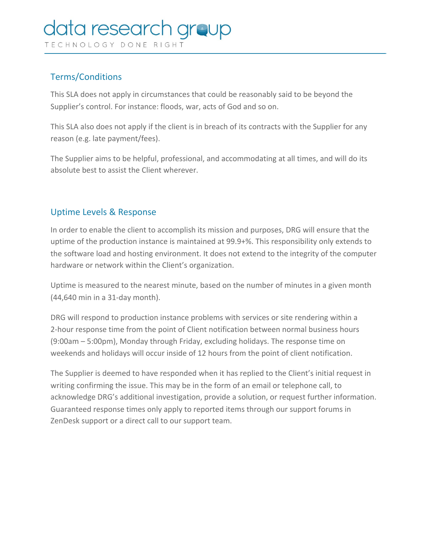## data research aroup

TECHNOLOGY DONE RIGHT

#### Terms/Conditions

This SLA does not apply in circumstances that could be reasonably said to be beyond the Supplier's control. For instance: floods, war, acts of God and so on.

This SLA also does not apply if the client is in breach of its contracts with the Supplier for any reason (e.g. late payment/fees).

The Supplier aims to be helpful, professional, and accommodating at all times, and will do its absolute best to assist the Client wherever.

#### Uptime Levels & Response

In order to enable the client to accomplish its mission and purposes, DRG will ensure that the uptime of the production instance is maintained at 99.9+%. This responsibility only extends to the software load and hosting environment. It does not extend to the integrity of the computer hardware or network within the Client's organization.

Uptime is measured to the nearest minute, based on the number of minutes in a given month (44,640 min in a 31-day month).

DRG will respond to production instance problems with services or site rendering within a 2-hour response time from the point of Client notification between normal business hours (9:00am – 5:00pm), Monday through Friday, excluding holidays. The response time on weekends and holidays will occur inside of 12 hours from the point of client notification.

The Supplier is deemed to have responded when it has replied to the Client's initial request in writing confirming the issue. This may be in the form of an email or telephone call, to acknowledge DRG's additional investigation, provide a solution, or request further information. Guaranteed response times only apply to reported items through our support forums in ZenDesk support or a direct call to our support team.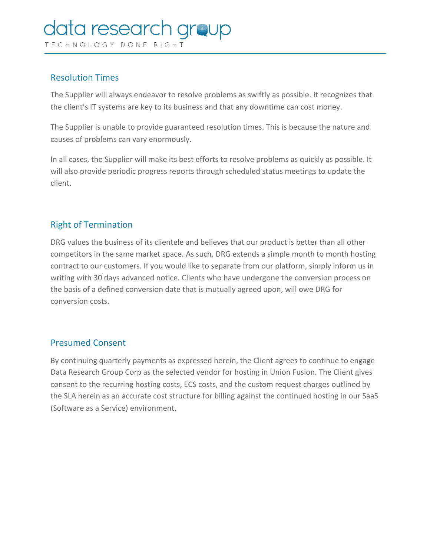## data research **aroup**

TECHNOLOGY DONE RIGHT

#### Resolution Times

The Supplier will always endeavor to resolve problems as swiftly as possible. It recognizes that the client's IT systems are key to its business and that any downtime can cost money.

The Supplier is unable to provide guaranteed resolution times. This is because the nature and causes of problems can vary enormously.

In all cases, the Supplier will make its best efforts to resolve problems as quickly as possible. It will also provide periodic progress reports through scheduled status meetings to update the client.

#### Right of Termination

DRG values the business of its clientele and believes that our product is better than all other competitors in the same market space. As such, DRG extends a simple month to month hosting contract to our customers. If you would like to separate from our platform, simply inform us in writing with 30 days advanced notice. Clients who have undergone the conversion process on the basis of a defined conversion date that is mutually agreed upon, will owe DRG for conversion costs.

#### Presumed Consent

By continuing quarterly payments as expressed herein, the Client agrees to continue to engage Data Research Group Corp as the selected vendor for hosting in Union Fusion. The Client gives consent to the recurring hosting costs, ECS costs, and the custom request charges outlined by the SLA herein as an accurate cost structure for billing against the continued hosting in our SaaS (Software as a Service) environment.